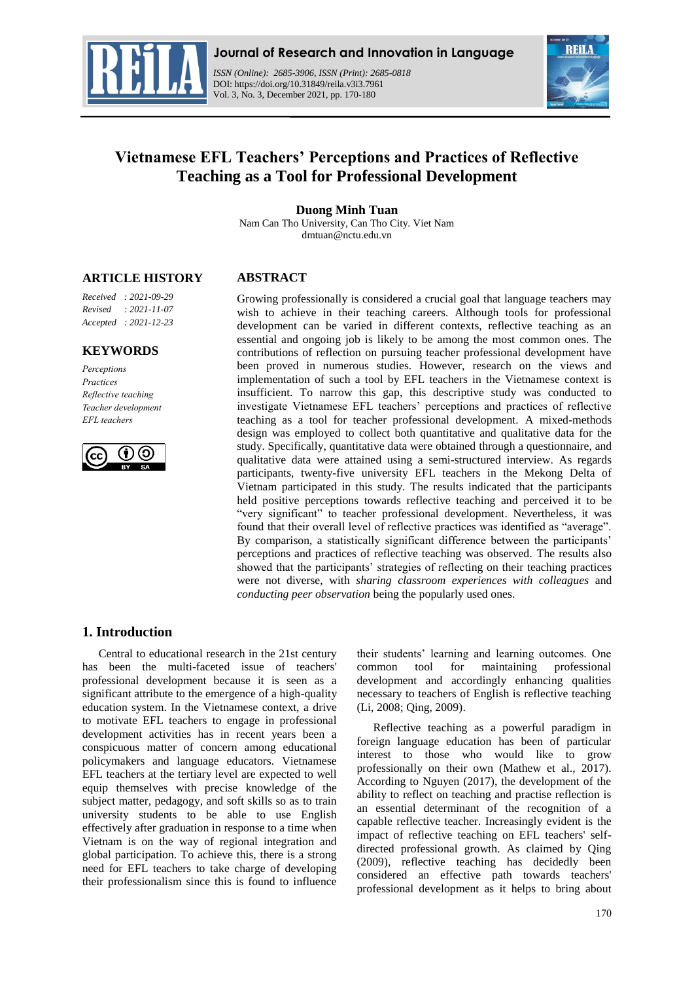

*ISSN (Online): 2685-3906, ISSN (Print): 2685-0818*  DOI: https://doi.org/10.31849/reila.v3i3.7961 Vol. 3, No. 3, December 2021, pp. 170-180



# **Vietnamese EFL Teachers' Perceptions and Practices of Reflective Teaching as a Tool for Professional Development**

### **Duong Minh Tuan**

Nam Can Tho University, Can Tho City. Viet Nam dmtuan@nctu.edu.vn

# **ARTICLE HISTORY**

# **ABSTRACT**

*Received : 2021-09-29 Revised : 2021-11-07 Accepted : 2021-12-23*

### **KEYWORDS**

*Perceptions Practices Reflective teaching Teacher development EFL teachers*



Growing professionally is considered a crucial goal that language teachers may wish to achieve in their teaching careers. Although tools for professional development can be varied in different contexts, reflective teaching as an essential and ongoing job is likely to be among the most common ones. The contributions of reflection on pursuing teacher professional development have been proved in numerous studies. However, research on the views and implementation of such a tool by EFL teachers in the Vietnamese context is insufficient. To narrow this gap, this descriptive study was conducted to investigate Vietnamese EFL teachers' perceptions and practices of reflective teaching as a tool for teacher professional development. A mixed-methods design was employed to collect both quantitative and qualitative data for the study. Specifically, quantitative data were obtained through a questionnaire, and qualitative data were attained using a semi-structured interview. As regards participants, twenty-five university EFL teachers in the Mekong Delta of Vietnam participated in this study. The results indicated that the participants held positive perceptions towards reflective teaching and perceived it to be "very significant" to teacher professional development. Nevertheless, it was found that their overall level of reflective practices was identified as "average". By comparison, a statistically significant difference between the participants' perceptions and practices of reflective teaching was observed. The results also showed that the participants' strategies of reflecting on their teaching practices were not diverse, with *sharing classroom experiences with colleagues* and *conducting peer observation* being the popularly used ones.

# **1. Introduction**

Central to educational research in the 21st century has been the multi-faceted issue of teachers' professional development because it is seen as a significant attribute to the emergence of a high-quality education system. In the Vietnamese context, a drive to motivate EFL teachers to engage in professional development activities has in recent years been a conspicuous matter of concern among educational policymakers and language educators. Vietnamese EFL teachers at the tertiary level are expected to well equip themselves with precise knowledge of the subject matter, pedagogy, and soft skills so as to train university students to be able to use English effectively after graduation in response to a time when Vietnam is on the way of regional integration and global participation. To achieve this, there is a strong need for EFL teachers to take charge of developing their professionalism since this is found to influence their students' learning and learning outcomes. One common tool for maintaining professional development and accordingly enhancing qualities necessary to teachers of English is reflective teaching (Li, 2008; Qing, 2009).

Reflective teaching as a powerful paradigm in foreign language education has been of particular interest to those who would like to grow professionally on their own (Mathew et al., 2017). According to Nguyen (2017), the development of the ability to reflect on teaching and practise reflection is an essential determinant of the recognition of a capable reflective teacher. Increasingly evident is the impact of reflective teaching on EFL teachers' selfdirected professional growth. As claimed by Qing (2009), reflective teaching has decidedly been considered an effective path towards teachers' professional development as it helps to bring about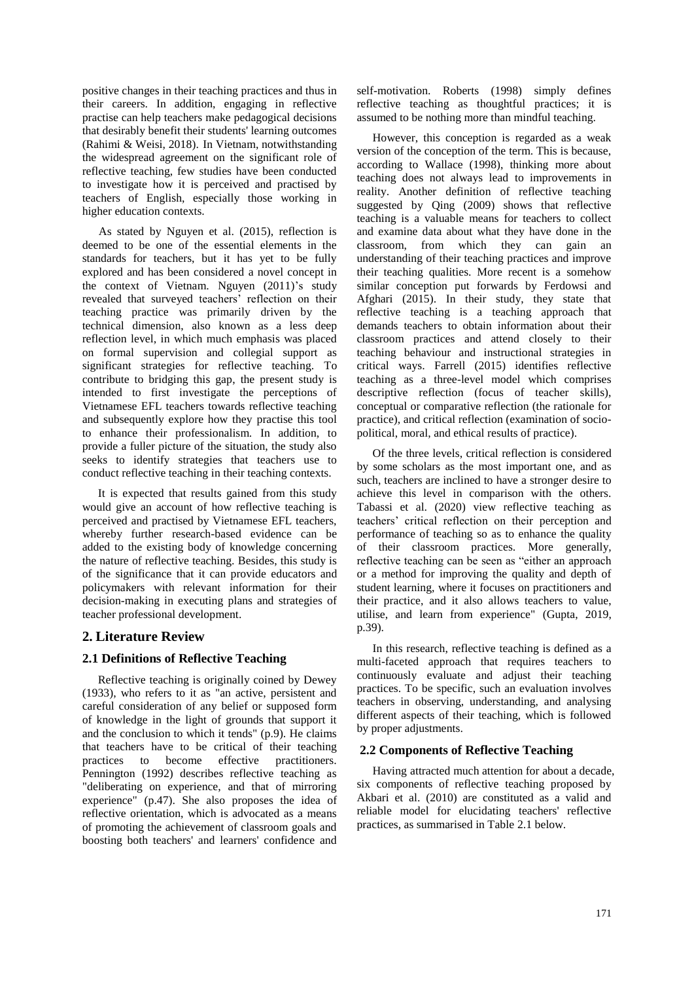positive changes in their teaching practices and thus in their careers. In addition, engaging in reflective practise can help teachers make pedagogical decisions that desirably benefit their students' learning outcomes (Rahimi & Weisi, 2018). In Vietnam, notwithstanding the widespread agreement on the significant role of reflective teaching, few studies have been conducted to investigate how it is perceived and practised by teachers of English, especially those working in higher education contexts.

As stated by Nguyen et al. (2015), reflection is deemed to be one of the essential elements in the standards for teachers, but it has yet to be fully explored and has been considered a novel concept in the context of Vietnam. Nguyen (2011)'s study revealed that surveyed teachers' reflection on their teaching practice was primarily driven by the technical dimension, also known as a less deep reflection level, in which much emphasis was placed on formal supervision and collegial support as significant strategies for reflective teaching. To contribute to bridging this gap, the present study is intended to first investigate the perceptions of Vietnamese EFL teachers towards reflective teaching and subsequently explore how they practise this tool to enhance their professionalism. In addition, to provide a fuller picture of the situation, the study also seeks to identify strategies that teachers use to conduct reflective teaching in their teaching contexts.

It is expected that results gained from this study would give an account of how reflective teaching is perceived and practised by Vietnamese EFL teachers, whereby further research-based evidence can be added to the existing body of knowledge concerning the nature of reflective teaching. Besides, this study is of the significance that it can provide educators and policymakers with relevant information for their decision-making in executing plans and strategies of teacher professional development.

# **2. Literature Review**

# **2.1 Definitions of Reflective Teaching**

Reflective teaching is originally coined by Dewey (1933), who refers to it as "an active, persistent and careful consideration of any belief or supposed form of knowledge in the light of grounds that support it and the conclusion to which it tends" (p.9). He claims that teachers have to be critical of their teaching practices to become effective practitioners. Pennington (1992) describes reflective teaching as "deliberating on experience, and that of mirroring experience" (p.47). She also proposes the idea of reflective orientation, which is advocated as a means of promoting the achievement of classroom goals and boosting both teachers' and learners' confidence and

self-motivation. Roberts (1998) simply defines reflective teaching as thoughtful practices; it is assumed to be nothing more than mindful teaching.

However, this conception is regarded as a weak version of the conception of the term. This is because, according to Wallace (1998), thinking more about teaching does not always lead to improvements in reality. Another definition of reflective teaching suggested by Qing (2009) shows that reflective teaching is a valuable means for teachers to collect and examine data about what they have done in the classroom, from which they can gain an understanding of their teaching practices and improve their teaching qualities. More recent is a somehow similar conception put forwards by Ferdowsi and Afghari (2015). In their study, they state that reflective teaching is a teaching approach that demands teachers to obtain information about their classroom practices and attend closely to their teaching behaviour and instructional strategies in critical ways. Farrell (2015) identifies reflective teaching as a three-level model which comprises descriptive reflection (focus of teacher skills), conceptual or comparative reflection (the rationale for practice), and critical reflection (examination of sociopolitical, moral, and ethical results of practice).

Of the three levels, critical reflection is considered by some scholars as the most important one, and as such, teachers are inclined to have a stronger desire to achieve this level in comparison with the others. Tabassi et al. (2020) view reflective teaching as teachers' critical reflection on their perception and performance of teaching so as to enhance the quality of their classroom practices. More generally, reflective teaching can be seen as "either an approach or a method for improving the quality and depth of student learning, where it focuses on practitioners and their practice, and it also allows teachers to value, utilise, and learn from experience" (Gupta, 2019, p.39).

In this research, reflective teaching is defined as a multi-faceted approach that requires teachers to continuously evaluate and adjust their teaching practices. To be specific, such an evaluation involves teachers in observing, understanding, and analysing different aspects of their teaching, which is followed by proper adjustments.

# **2.2 Components of Reflective Teaching**

Having attracted much attention for about a decade, six components of reflective teaching proposed by Akbari et al. (2010) are constituted as a valid and reliable model for elucidating teachers' reflective practices, as summarised in Table 2.1 below.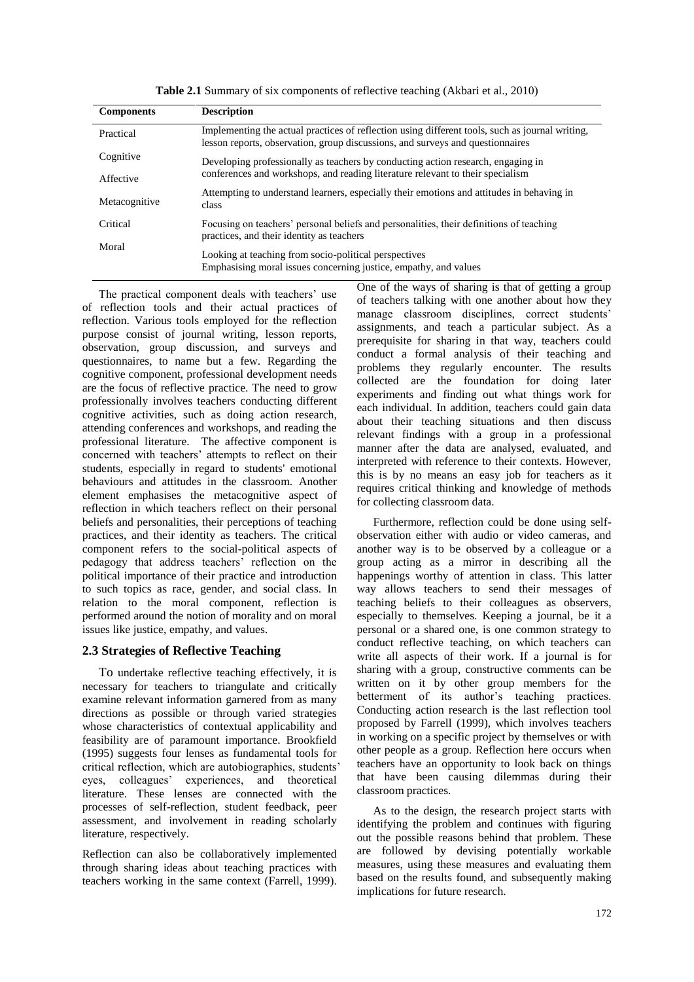| <b>Components</b> | <b>Description</b>                                                                                                                                                                |
|-------------------|-----------------------------------------------------------------------------------------------------------------------------------------------------------------------------------|
| Practical         | Implementing the actual practices of reflection using different tools, such as journal writing,<br>lesson reports, observation, group discussions, and surveys and questionnaires |
| Cognitive         | Developing professionally as teachers by conducting action research, engaging in                                                                                                  |
| Affective         | conferences and workshops, and reading literature relevant to their specialism                                                                                                    |
| Metacognitive     | Attempting to understand learners, especially their emotions and attitudes in behaving in<br>class                                                                                |
| Critical          | Focusing on teachers' personal beliefs and personalities, their definitions of teaching<br>practices, and their identity as teachers                                              |
| Moral             | Looking at teaching from socio-political perspectives<br>Emphasising moral issues concerning justice, empathy, and values                                                         |

**Table 2.1** Summary of six components of reflective teaching (Akbari et al., 2010)

The practical component deals with teachers' use of reflection tools and their actual practices of reflection. Various tools employed for the reflection purpose consist of journal writing, lesson reports, observation, group discussion, and surveys and questionnaires, to name but a few. Regarding the cognitive component, professional development needs are the focus of reflective practice. The need to grow professionally involves teachers conducting different cognitive activities, such as doing action research, attending conferences and workshops, and reading the professional literature. The affective component is concerned with teachers' attempts to reflect on their students, especially in regard to students' emotional behaviours and attitudes in the classroom. Another element emphasises the metacognitive aspect of reflection in which teachers reflect on their personal beliefs and personalities, their perceptions of teaching practices, and their identity as teachers. The critical component refers to the social-political aspects of pedagogy that address teachers' reflection on the political importance of their practice and introduction to such topics as race, gender, and social class. In relation to the moral component, reflection is performed around the notion of morality and on moral issues like justice, empathy, and values.

### **2.3 Strategies of Reflective Teaching**

To undertake reflective teaching effectively, it is necessary for teachers to triangulate and critically examine relevant information garnered from as many directions as possible or through varied strategies whose characteristics of contextual applicability and feasibility are of paramount importance. Brookfield (1995) suggests four lenses as fundamental tools for critical reflection, which are autobiographies, students' eyes, colleagues' experiences, and theoretical literature. These lenses are connected with the processes of self-reflection, student feedback, peer assessment, and involvement in reading scholarly literature, respectively.

Reflection can also be collaboratively implemented through sharing ideas about teaching practices with teachers working in the same context (Farrell, 1999). One of the ways of sharing is that of getting a group of teachers talking with one another about how they manage classroom disciplines, correct students' assignments, and teach a particular subject. As a prerequisite for sharing in that way, teachers could conduct a formal analysis of their teaching and problems they regularly encounter. The results collected are the foundation for doing later experiments and finding out what things work for each individual. In addition, teachers could gain data about their teaching situations and then discuss relevant findings with a group in a professional manner after the data are analysed, evaluated, and interpreted with reference to their contexts. However, this is by no means an easy job for teachers as it requires critical thinking and knowledge of methods for collecting classroom data.

Furthermore, reflection could be done using selfobservation either with audio or video cameras, and another way is to be observed by a colleague or a group acting as a mirror in describing all the happenings worthy of attention in class. This latter way allows teachers to send their messages of teaching beliefs to their colleagues as observers, especially to themselves. Keeping a journal, be it a personal or a shared one, is one common strategy to conduct reflective teaching, on which teachers can write all aspects of their work. If a journal is for sharing with a group, constructive comments can be written on it by other group members for the betterment of its author's teaching practices. Conducting action research is the last reflection tool proposed by Farrell (1999), which involves teachers in working on a specific project by themselves or with other people as a group. Reflection here occurs when teachers have an opportunity to look back on things that have been causing dilemmas during their classroom practices.

As to the design, the research project starts with identifying the problem and continues with figuring out the possible reasons behind that problem. These are followed by devising potentially workable measures, using these measures and evaluating them based on the results found, and subsequently making implications for future research.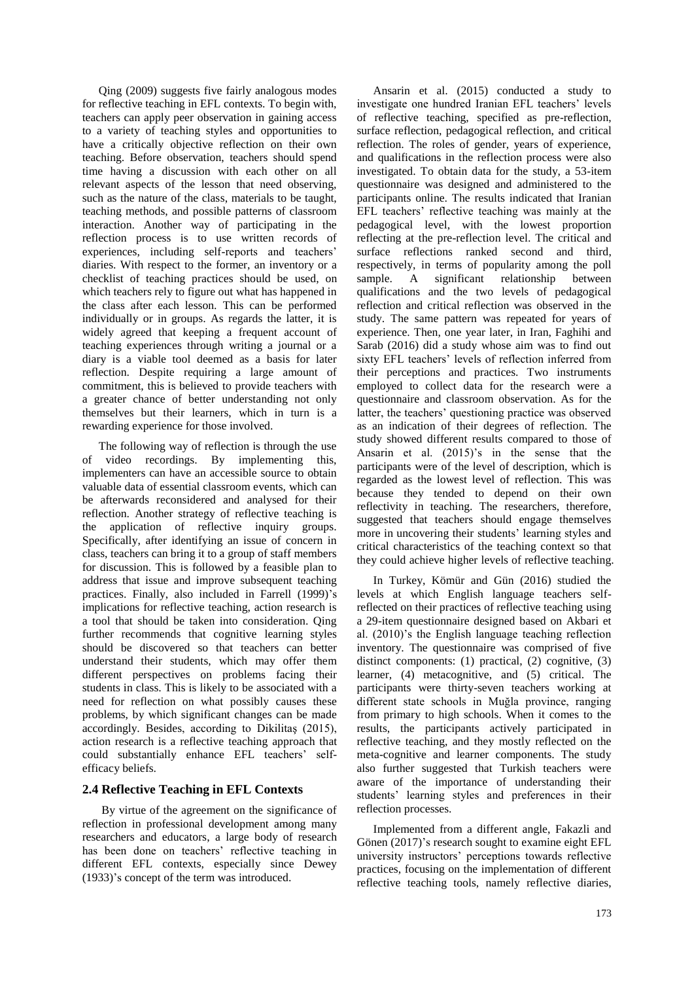Qing (2009) suggests five fairly analogous modes for reflective teaching in EFL contexts. To begin with, teachers can apply peer observation in gaining access to a variety of teaching styles and opportunities to have a critically objective reflection on their own teaching. Before observation, teachers should spend time having a discussion with each other on all relevant aspects of the lesson that need observing, such as the nature of the class, materials to be taught, teaching methods, and possible patterns of classroom interaction. Another way of participating in the reflection process is to use written records of experiences, including self-reports and teachers' diaries. With respect to the former, an inventory or a checklist of teaching practices should be used, on which teachers rely to figure out what has happened in the class after each lesson. This can be performed individually or in groups. As regards the latter, it is widely agreed that keeping a frequent account of teaching experiences through writing a journal or a diary is a viable tool deemed as a basis for later reflection. Despite requiring a large amount of commitment, this is believed to provide teachers with a greater chance of better understanding not only themselves but their learners, which in turn is a rewarding experience for those involved.

The following way of reflection is through the use of video recordings. By implementing this, implementers can have an accessible source to obtain valuable data of essential classroom events, which can be afterwards reconsidered and analysed for their reflection. Another strategy of reflective teaching is the application of reflective inquiry groups. Specifically, after identifying an issue of concern in class, teachers can bring it to a group of staff members for discussion. This is followed by a feasible plan to address that issue and improve subsequent teaching practices. Finally, also included in Farrell (1999)'s implications for reflective teaching, action research is a tool that should be taken into consideration. Qing further recommends that cognitive learning styles should be discovered so that teachers can better understand their students, which may offer them different perspectives on problems facing their students in class. This is likely to be associated with a need for reflection on what possibly causes these problems, by which significant changes can be made accordingly. Besides, according to Dikilitaş (2015), action research is a reflective teaching approach that could substantially enhance EFL teachers' selfefficacy beliefs.

### **2.4 Reflective Teaching in EFL Contexts**

By virtue of the agreement on the significance of reflection in professional development among many researchers and educators, a large body of research has been done on teachers' reflective teaching in different EFL contexts, especially since Dewey (1933)'s concept of the term was introduced.

Ansarin et al. (2015) conducted a study to investigate one hundred Iranian EFL teachers' levels of reflective teaching, specified as pre-reflection, surface reflection, pedagogical reflection, and critical reflection. The roles of gender, years of experience, and qualifications in the reflection process were also investigated. To obtain data for the study, a 53-item questionnaire was designed and administered to the participants online. The results indicated that Iranian EFL teachers' reflective teaching was mainly at the pedagogical level, with the lowest proportion reflecting at the pre-reflection level. The critical and surface reflections ranked second and third, respectively, in terms of popularity among the poll sample. A significant relationship between qualifications and the two levels of pedagogical reflection and critical reflection was observed in the study. The same pattern was repeated for years of experience. Then, one year later, in Iran, Faghihi and Sarab (2016) did a study whose aim was to find out sixty EFL teachers' levels of reflection inferred from their perceptions and practices. Two instruments employed to collect data for the research were a questionnaire and classroom observation. As for the latter, the teachers' questioning practice was observed as an indication of their degrees of reflection. The study showed different results compared to those of Ansarin et al. (2015)'s in the sense that the participants were of the level of description, which is regarded as the lowest level of reflection. This was because they tended to depend on their own reflectivity in teaching. The researchers, therefore, suggested that teachers should engage themselves more in uncovering their students' learning styles and critical characteristics of the teaching context so that they could achieve higher levels of reflective teaching.

In Turkey, Kömür and Gün (2016) studied the levels at which English language teachers selfreflected on their practices of reflective teaching using a 29-item questionnaire designed based on Akbari et al. (2010)'s the English language teaching reflection inventory. The questionnaire was comprised of five distinct components: (1) practical, (2) cognitive, (3) learner, (4) metacognitive, and (5) critical. The participants were thirty-seven teachers working at different state schools in Muğla province, ranging from primary to high schools. When it comes to the results, the participants actively participated in reflective teaching, and they mostly reflected on the meta-cognitive and learner components. The study also further suggested that Turkish teachers were aware of the importance of understanding their students' learning styles and preferences in their reflection processes.

Implemented from a different angle, Fakazli and Gönen (2017)'s research sought to examine eight EFL university instructors' perceptions towards reflective practices, focusing on the implementation of different reflective teaching tools, namely reflective diaries,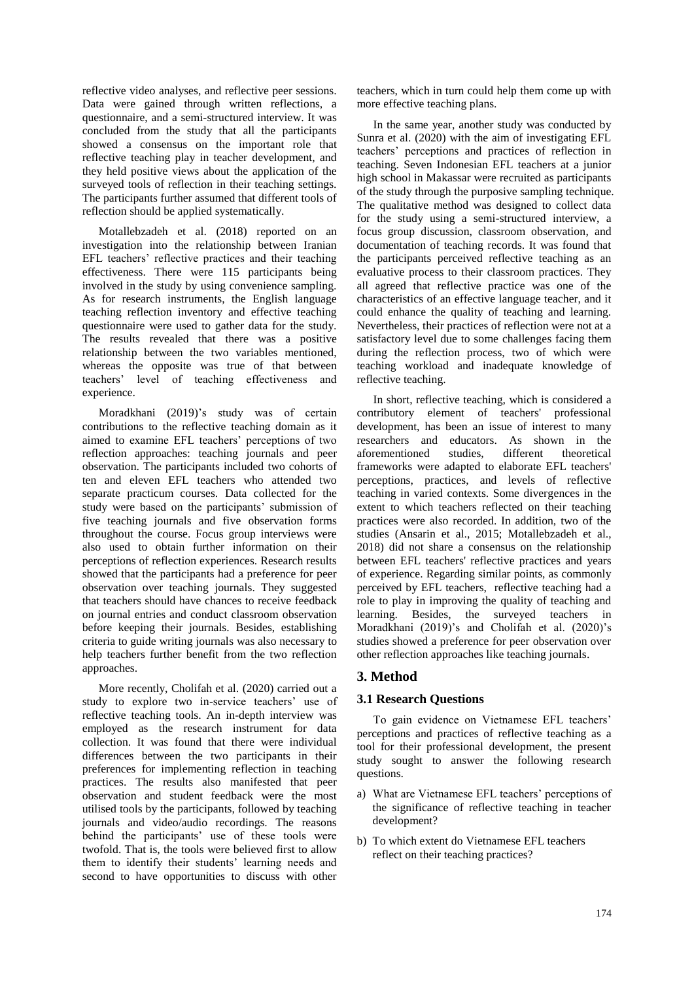reflective video analyses, and reflective peer sessions. Data were gained through written reflections, a questionnaire, and a semi-structured interview. It was concluded from the study that all the participants showed a consensus on the important role that reflective teaching play in teacher development, and they held positive views about the application of the surveyed tools of reflection in their teaching settings. The participants further assumed that different tools of reflection should be applied systematically.

Motallebzadeh et al. (2018) reported on an investigation into the relationship between Iranian EFL teachers' reflective practices and their teaching effectiveness. There were 115 participants being involved in the study by using convenience sampling. As for research instruments, the English language teaching reflection inventory and effective teaching questionnaire were used to gather data for the study. The results revealed that there was a positive relationship between the two variables mentioned, whereas the opposite was true of that between teachers' level of teaching effectiveness and experience.

Moradkhani (2019)'s study was of certain contributions to the reflective teaching domain as it aimed to examine EFL teachers' perceptions of two reflection approaches: teaching journals and peer observation. The participants included two cohorts of ten and eleven EFL teachers who attended two separate practicum courses. Data collected for the study were based on the participants' submission of five teaching journals and five observation forms throughout the course. Focus group interviews were also used to obtain further information on their perceptions of reflection experiences. Research results showed that the participants had a preference for peer observation over teaching journals. They suggested that teachers should have chances to receive feedback on journal entries and conduct classroom observation before keeping their journals. Besides, establishing criteria to guide writing journals was also necessary to help teachers further benefit from the two reflection approaches.

More recently, Cholifah et al. (2020) carried out a study to explore two in-service teachers' use of reflective teaching tools. An in-depth interview was employed as the research instrument for data collection. It was found that there were individual differences between the two participants in their preferences for implementing reflection in teaching practices. The results also manifested that peer observation and student feedback were the most utilised tools by the participants, followed by teaching journals and video/audio recordings. The reasons behind the participants' use of these tools were twofold. That is, the tools were believed first to allow them to identify their students' learning needs and second to have opportunities to discuss with other

teachers, which in turn could help them come up with more effective teaching plans.

In the same year, another study was conducted by Sunra et al. (2020) with the aim of investigating EFL teachers' perceptions and practices of reflection in teaching. Seven Indonesian EFL teachers at a junior high school in Makassar were recruited as participants of the study through the purposive sampling technique. The qualitative method was designed to collect data for the study using a semi-structured interview, a focus group discussion, classroom observation, and documentation of teaching records. It was found that the participants perceived reflective teaching as an evaluative process to their classroom practices. They all agreed that reflective practice was one of the characteristics of an effective language teacher, and it could enhance the quality of teaching and learning. Nevertheless, their practices of reflection were not at a satisfactory level due to some challenges facing them during the reflection process, two of which were teaching workload and inadequate knowledge of reflective teaching.

In short, reflective teaching, which is considered a contributory element of teachers' professional development, has been an issue of interest to many researchers and educators. As shown in the aforementioned studies, different theoretical frameworks were adapted to elaborate EFL teachers' perceptions, practices, and levels of reflective teaching in varied contexts. Some divergences in the extent to which teachers reflected on their teaching practices were also recorded. In addition, two of the studies (Ansarin et al., 2015; Motallebzadeh et al., 2018) did not share a consensus on the relationship between EFL teachers' reflective practices and years of experience. Regarding similar points, as commonly perceived by EFL teachers, reflective teaching had a role to play in improving the quality of teaching and learning. Besides, the surveyed teachers in Moradkhani (2019)'s and Cholifah et al. (2020)'s studies showed a preference for peer observation over other reflection approaches like teaching journals.

# **3. Method**

# **3.1 Research Questions**

To gain evidence on Vietnamese EFL teachers' perceptions and practices of reflective teaching as a tool for their professional development, the present study sought to answer the following research questions.

- a) What are Vietnamese EFL teachers' perceptions of the significance of reflective teaching in teacher development?
- b) To which extent do Vietnamese EFL teachers reflect on their teaching practices?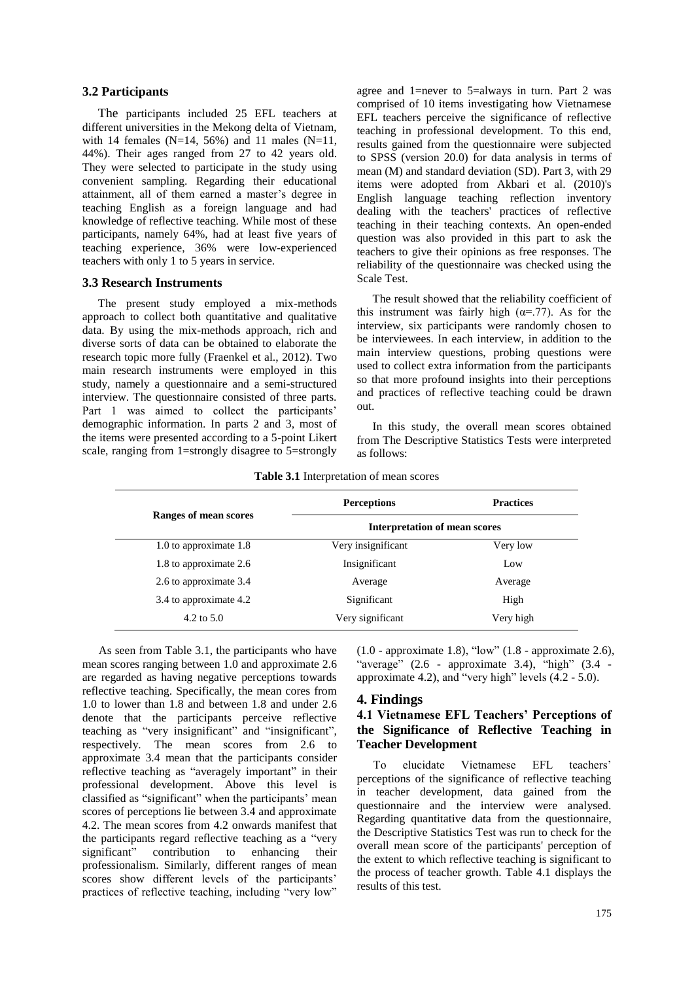#### **3.2 Participants**

The participants included 25 EFL teachers at different universities in the Mekong delta of Vietnam, with 14 females (N=14, 56%) and 11 males (N=11, 44%). Their ages ranged from 27 to 42 years old. They were selected to participate in the study using convenient sampling. Regarding their educational attainment, all of them earned a master's degree in teaching English as a foreign language and had knowledge of reflective teaching. While most of these participants, namely 64%, had at least five years of teaching experience, 36% were low-experienced teachers with only 1 to 5 years in service.

#### **3.3 Research Instruments**

The present study employed a mix-methods approach to collect both quantitative and qualitative data. By using the mix-methods approach, rich and diverse sorts of data can be obtained to elaborate the research topic more fully (Fraenkel et al., 2012). Two main research instruments were employed in this study, namely a questionnaire and a semi-structured interview. The questionnaire consisted of three parts. Part 1 was aimed to collect the participants' demographic information. In parts 2 and 3, most of the items were presented according to a 5-point Likert scale, ranging from 1=strongly disagree to 5=strongly

agree and 1=never to 5=always in turn. Part 2 was comprised of 10 items investigating how Vietnamese EFL teachers perceive the significance of reflective teaching in professional development. To this end, results gained from the questionnaire were subjected to SPSS (version 20.0) for data analysis in terms of mean (M) and standard deviation (SD). Part 3, with 29 items were adopted from Akbari et al. (2010)'s English language teaching reflection inventory dealing with the teachers' practices of reflective teaching in their teaching contexts. An open-ended question was also provided in this part to ask the teachers to give their opinions as free responses. The reliability of the questionnaire was checked using the Scale Test.

The result showed that the reliability coefficient of this instrument was fairly high  $(\alpha = .77)$ . As for the interview, six participants were randomly chosen to be interviewees. In each interview, in addition to the main interview questions, probing questions were used to collect extra information from the participants so that more profound insights into their perceptions and practices of reflective teaching could be drawn out.

In this study, the overall mean scores obtained from The Descriptive Statistics Tests were interpreted as follows:

|  | Table 3.1 Interpretation of mean scores |  |  |
|--|-----------------------------------------|--|--|
|--|-----------------------------------------|--|--|

|                        | <b>Perceptions</b>                   | <b>Practices</b> |
|------------------------|--------------------------------------|------------------|
| Ranges of mean scores  | <b>Interpretation of mean scores</b> |                  |
| 1.0 to approximate 1.8 | Very insignificant                   | Very low         |
| 1.8 to approximate 2.6 | Insignificant                        | Low              |
| 2.6 to approximate 3.4 | Average                              | Average          |
| 3.4 to approximate 4.2 | Significant                          | High             |
| 4.2 to $5.0$           | Very significant                     | Very high        |

As seen from Table 3.1, the participants who have mean scores ranging between 1.0 and approximate 2.6 are regarded as having negative perceptions towards reflective teaching. Specifically, the mean cores from 1.0 to lower than 1.8 and between 1.8 and under 2.6 denote that the participants perceive reflective teaching as "very insignificant" and "insignificant", respectively. The mean scores from 2.6 to approximate 3.4 mean that the participants consider reflective teaching as "averagely important" in their professional development. Above this level is classified as "significant" when the participants' mean scores of perceptions lie between 3.4 and approximate 4.2. The mean scores from 4.2 onwards manifest that the participants regard reflective teaching as a "very significant" contribution to enhancing their professionalism. Similarly, different ranges of mean scores show different levels of the participants' practices of reflective teaching, including "very low"

 $(1.0 - approximate 1.8)$ , "low"  $(1.8 - approximate 2.6)$ , "average"  $(2.6 - approximate 3.4)$ , "high"  $(3.4$ approximate 4.2), and "very high" levels (4.2 - 5.0).

#### **4. Findings**

### **4.1 Vietnamese EFL Teachers' Perceptions of the Significance of Reflective Teaching in Teacher Development**

To elucidate Vietnamese EFL teachers' perceptions of the significance of reflective teaching in teacher development, data gained from the questionnaire and the interview were analysed. Regarding quantitative data from the questionnaire, the Descriptive Statistics Test was run to check for the overall mean score of the participants' perception of the extent to which reflective teaching is significant to the process of teacher growth. Table 4.1 displays the results of this test.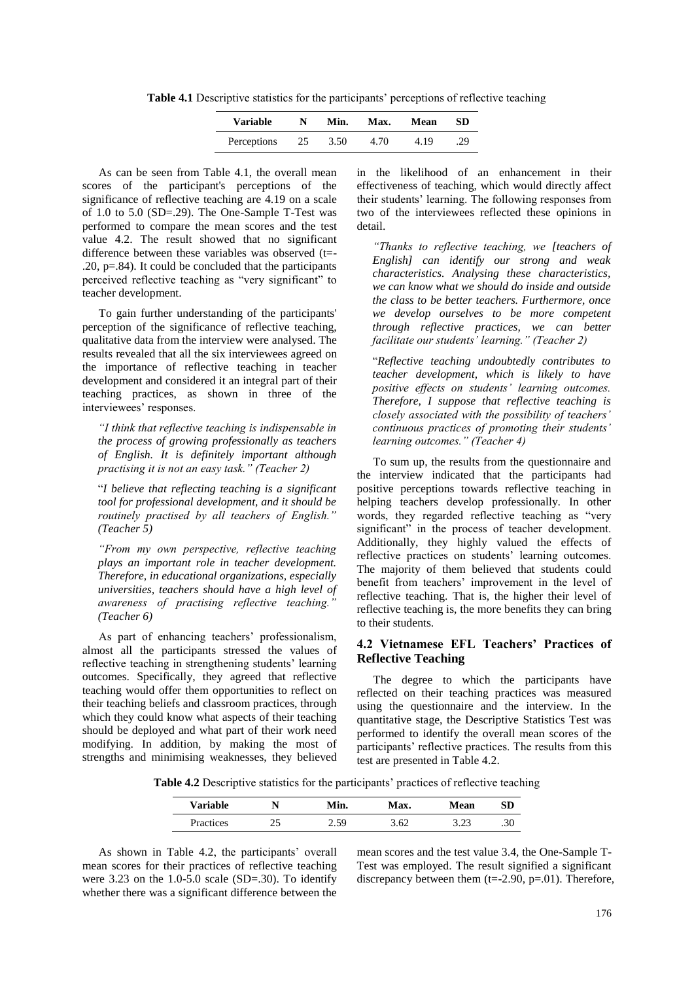**Table 4.1** Descriptive statistics for the participants' perceptions of reflective teaching

| <b>Variable</b> | N  | Min. | Max. | Mean | SD  |
|-----------------|----|------|------|------|-----|
| Perceptions     | 25 | 3.50 | 4.70 | 4.19 | .29 |

As can be seen from Table 4.1, the overall mean scores of the participant's perceptions of the significance of reflective teaching are 4.19 on a scale of 1.0 to 5.0 (SD=.29). The One-Sample T-Test was performed to compare the mean scores and the test value 4.2. The result showed that no significant difference between these variables was observed (t=- .20, p=.84). It could be concluded that the participants perceived reflective teaching as "very significant" to teacher development.

To gain further understanding of the participants' perception of the significance of reflective teaching, qualitative data from the interview were analysed. The results revealed that all the six interviewees agreed on the importance of reflective teaching in teacher development and considered it an integral part of their teaching practices, as shown in three of the interviewees' responses.

*"I think that reflective teaching is indispensable in the process of growing professionally as teachers of English. It is definitely important although practising it is not an easy task." (Teacher 2)*

"*I believe that reflecting teaching is a significant tool for professional development, and it should be routinely practised by all teachers of English." (Teacher 5)*

*"From my own perspective, reflective teaching plays an important role in teacher development. Therefore, in educational organizations, especially universities, teachers should have a high level of awareness of practising reflective teaching." (Teacher 6)*

As part of enhancing teachers' professionalism, almost all the participants stressed the values of reflective teaching in strengthening students' learning outcomes. Specifically, they agreed that reflective teaching would offer them opportunities to reflect on their teaching beliefs and classroom practices, through which they could know what aspects of their teaching should be deployed and what part of their work need modifying. In addition, by making the most of strengths and minimising weaknesses, they believed

in the likelihood of an enhancement in their effectiveness of teaching, which would directly affect their students' learning. The following responses from two of the interviewees reflected these opinions in detail.

*"Thanks to reflective teaching, we [teachers of English] can identify our strong and weak characteristics. Analysing these characteristics, we can know what we should do inside and outside the class to be better teachers. Furthermore, once we develop ourselves to be more competent through reflective practices, we can better facilitate our students' learning." (Teacher 2)*

"*Reflective teaching undoubtedly contributes to teacher development, which is likely to have positive effects on students' learning outcomes. Therefore, I suppose that reflective teaching is closely associated with the possibility of teachers' continuous practices of promoting their students' learning outcomes." (Teacher 4)*

To sum up, the results from the questionnaire and the interview indicated that the participants had positive perceptions towards reflective teaching in helping teachers develop professionally. In other words, they regarded reflective teaching as "very significant" in the process of teacher development. Additionally, they highly valued the effects of reflective practices on students' learning outcomes. The majority of them believed that students could benefit from teachers' improvement in the level of reflective teaching. That is, the higher their level of reflective teaching is, the more benefits they can bring to their students.

### **4.2 Vietnamese EFL Teachers' Practices of Reflective Teaching**

The degree to which the participants have reflected on their teaching practices was measured using the questionnaire and the interview. In the quantitative stage, the Descriptive Statistics Test was performed to identify the overall mean scores of the participants' reflective practices. The results from this test are presented in Table 4.2.

**Table 4.2** Descriptive statistics for the participants' practices of reflective teaching

| <b>Variable</b> | N        | Min.         | <b>Max.</b> | Mean           | SD  |
|-----------------|----------|--------------|-------------|----------------|-----|
| Practices       | ገር<br>ر_ | , <0<br>2.JJ | 3.62        | າ າາ<br>ر ے. ر | .30 |

As shown in Table 4.2, the participants' overall mean scores for their practices of reflective teaching were 3.23 on the  $1.0 - 5.0$  scale (SD=.30). To identify whether there was a significant difference between the

mean scores and the test value 3.4, the One-Sample T-Test was employed. The result signified a significant discrepancy between them  $(t=2.90, p=.01)$ . Therefore,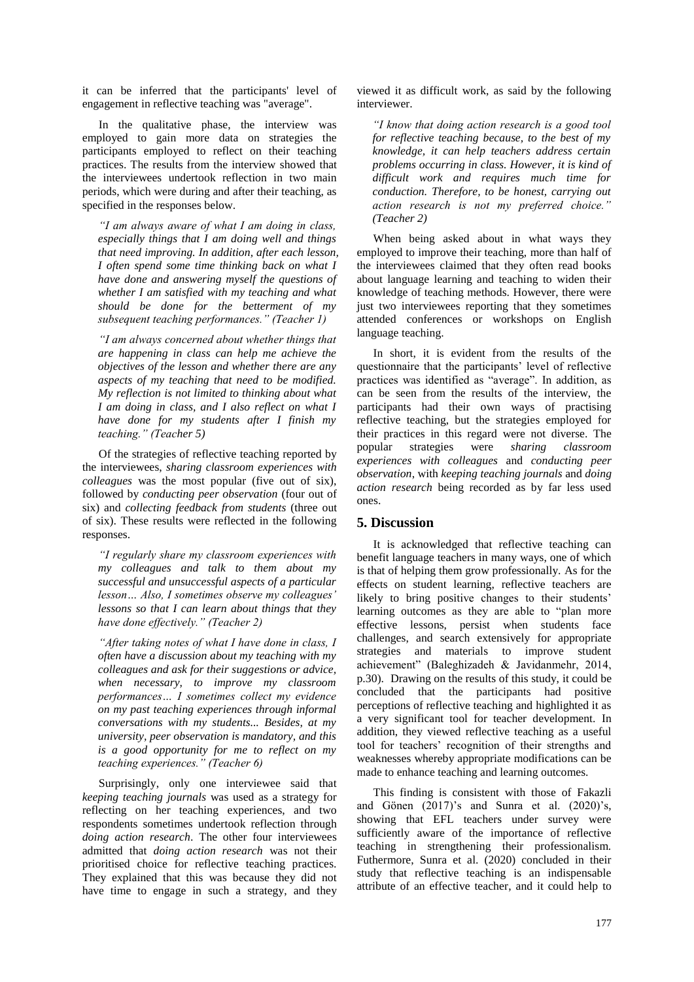it can be inferred that the participants' level of engagement in reflective teaching was "average".

In the qualitative phase, the interview was employed to gain more data on strategies the participants employed to reflect on their teaching practices. The results from the interview showed that the interviewees undertook reflection in two main periods, which were during and after their teaching, as specified in the responses below.

*"I am always aware of what I am doing in class, especially things that I am doing well and things that need improving. In addition, after each lesson, I often spend some time thinking back on what I have done and answering myself the questions of whether I am satisfied with my teaching and what should be done for the betterment of my subsequent teaching performances." (Teacher 1)*

*"I am always concerned about whether things that are happening in class can help me achieve the objectives of the lesson and whether there are any aspects of my teaching that need to be modified. My reflection is not limited to thinking about what I am doing in class, and I also reflect on what I have done for my students after I finish my teaching." (Teacher 5)*

Of the strategies of reflective teaching reported by the interviewees, *sharing classroom experiences with colleagues* was the most popular (five out of six), followed by *conducting peer observation* (four out of six) and *collecting feedback from students* (three out of six). These results were reflected in the following responses.

*"I regularly share my classroom experiences with my colleagues and talk to them about my successful and unsuccessful aspects of a particular lesson… Also, I sometimes observe my colleagues' lessons so that I can learn about things that they have done effectively." (Teacher 2)*

*"After taking notes of what I have done in class, I often have a discussion about my teaching with my colleagues and ask for their suggestions or advice, when necessary, to improve my classroom performances… I sometimes collect my evidence on my past teaching experiences through informal conversations with my students... Besides, at my university, peer observation is mandatory, and this is a good opportunity for me to reflect on my teaching experiences." (Teacher 6)*

Surprisingly, only one interviewee said that *keeping teaching journals* was used as a strategy for reflecting on her teaching experiences, and two respondents sometimes undertook reflection through *doing action research*. The other four interviewees admitted that *doing action research* was not their prioritised choice for reflective teaching practices. They explained that this was because they did not have time to engage in such a strategy, and they

viewed it as difficult work, as said by the following interviewer.

*"I know that doing action research is a good tool for reflective teaching because, to the best of my knowledge, it can help teachers address certain problems occurring in class. However, it is kind of difficult work and requires much time for conduction. Therefore, to be honest, carrying out action research is not my preferred choice." (Teacher 2)*

When being asked about in what ways they employed to improve their teaching, more than half of the interviewees claimed that they often read books about language learning and teaching to widen their knowledge of teaching methods. However, there were just two interviewees reporting that they sometimes attended conferences or workshops on English language teaching.

In short, it is evident from the results of the questionnaire that the participants' level of reflective practices was identified as "average". In addition, as can be seen from the results of the interview, the participants had their own ways of practising reflective teaching, but the strategies employed for their practices in this regard were not diverse. The popular strategies were *sharing classroom experiences with colleagues* and *conducting peer observation*, with *keeping teaching journals* and *doing action research* being recorded as by far less used ones.

### **5. Discussion**

It is acknowledged that reflective teaching can benefit language teachers in many ways, one of which is that of helping them grow professionally. As for the effects on student learning, reflective teachers are likely to bring positive changes to their students' learning outcomes as they are able to "plan more effective lessons, persist when students face challenges, and search extensively for appropriate strategies and materials to improve student achievement" (Baleghizadeh & Javidanmehr, 2014, p.30). Drawing on the results of this study, it could be concluded that the participants had positive perceptions of reflective teaching and highlighted it as a very significant tool for teacher development. In addition, they viewed reflective teaching as a useful tool for teachers' recognition of their strengths and weaknesses whereby appropriate modifications can be made to enhance teaching and learning outcomes.

This finding is consistent with those of Fakazli and Gönen  $(2017)'s$  and Sunra et al.  $(2020)'s$ , showing that EFL teachers under survey were sufficiently aware of the importance of reflective teaching in strengthening their professionalism. Futhermore, Sunra et al. (2020) concluded in their study that reflective teaching is an indispensable attribute of an effective teacher, and it could help to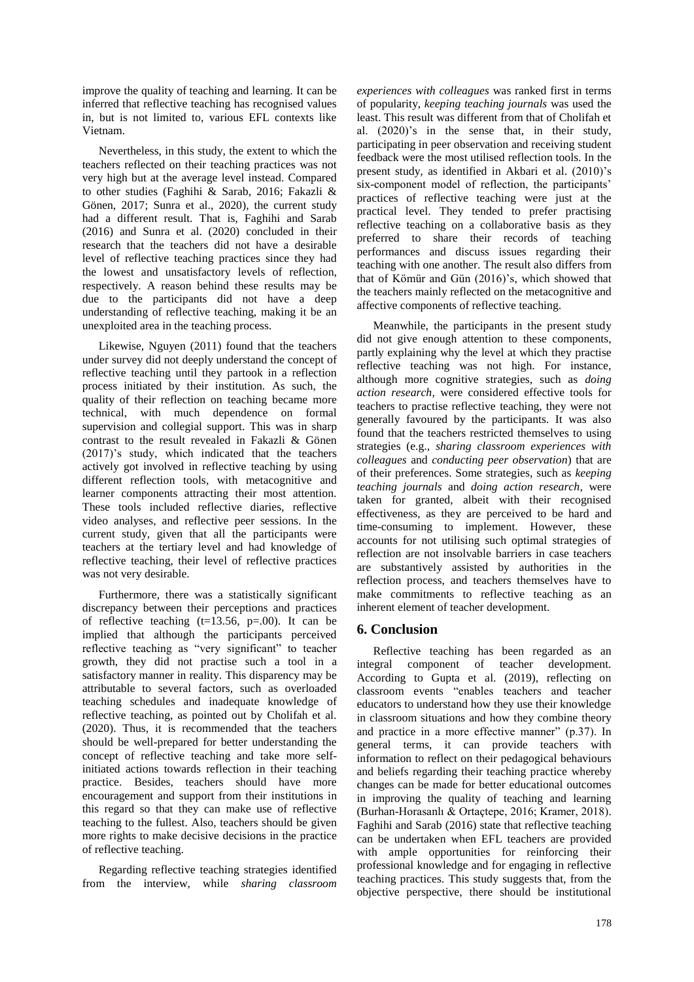improve the quality of teaching and learning. It can be inferred that reflective teaching has recognised values in, but is not limited to, various EFL contexts like Vietnam.

Nevertheless, in this study, the extent to which the teachers reflected on their teaching practices was not very high but at the average level instead. Compared to other studies (Faghihi & Sarab, 2016; Fakazli & Gönen, 2017; Sunra et al., 2020), the current study had a different result. That is, Faghihi and Sarab (2016) and Sunra et al. (2020) concluded in their research that the teachers did not have a desirable level of reflective teaching practices since they had the lowest and unsatisfactory levels of reflection, respectively. A reason behind these results may be due to the participants did not have a deep understanding of reflective teaching, making it be an unexploited area in the teaching process.

Likewise, Nguyen (2011) found that the teachers under survey did not deeply understand the concept of reflective teaching until they partook in a reflection process initiated by their institution. As such, the quality of their reflection on teaching became more technical, with much dependence on formal supervision and collegial support. This was in sharp contrast to the result revealed in Fakazli & Gönen (2017)'s study, which indicated that the teachers actively got involved in reflective teaching by using different reflection tools, with metacognitive and learner components attracting their most attention. These tools included reflective diaries, reflective video analyses, and reflective peer sessions. In the current study, given that all the participants were teachers at the tertiary level and had knowledge of reflective teaching, their level of reflective practices was not very desirable.

Furthermore, there was a statistically significant discrepancy between their perceptions and practices of reflective teaching  $(t=13.56, p=.00)$ . It can be implied that although the participants perceived reflective teaching as "very significant" to teacher growth, they did not practise such a tool in a satisfactory manner in reality. This disparency may be attributable to several factors, such as overloaded teaching schedules and inadequate knowledge of reflective teaching, as pointed out by Cholifah et al. (2020). Thus, it is recommended that the teachers should be well-prepared for better understanding the concept of reflective teaching and take more selfinitiated actions towards reflection in their teaching practice. Besides, teachers should have more encouragement and support from their institutions in this regard so that they can make use of reflective teaching to the fullest. Also, teachers should be given more rights to make decisive decisions in the practice of reflective teaching.

Regarding reflective teaching strategies identified from the interview, while *sharing classroom*  *experiences with colleagues* was ranked first in terms of popularity, *keeping teaching journals* was used the least. This result was different from that of Cholifah et al. (2020)'s in the sense that, in their study, participating in peer observation and receiving student feedback were the most utilised reflection tools. In the present study, as identified in Akbari et al. (2010)'s six-component model of reflection, the participants' practices of reflective teaching were just at the practical level. They tended to prefer practising reflective teaching on a collaborative basis as they preferred to share their records of teaching performances and discuss issues regarding their teaching with one another. The result also differs from that of Kömür and Gün (2016)'s, which showed that the teachers mainly reflected on the metacognitive and affective components of reflective teaching.

Meanwhile, the participants in the present study did not give enough attention to these components, partly explaining why the level at which they practise reflective teaching was not high. For instance, although more cognitive strategies, such as *doing action research,* were considered effective tools for teachers to practise reflective teaching, they were not generally favoured by the participants. It was also found that the teachers restricted themselves to using strategies (e.g., *sharing classroom experiences with colleagues* and *conducting peer observation*) that are of their preferences. Some strategies, such as *keeping teaching journals* and *doing action research*, were taken for granted, albeit with their recognised effectiveness, as they are perceived to be hard and time-consuming to implement. However, these accounts for not utilising such optimal strategies of reflection are not insolvable barriers in case teachers are substantively assisted by authorities in the reflection process, and teachers themselves have to make commitments to reflective teaching as an inherent element of teacher development.

# **6. Conclusion**

Reflective teaching has been regarded as an integral component of teacher development. According to Gupta et al. (2019), reflecting on classroom events "enables teachers and teacher educators to understand how they use their knowledge in classroom situations and how they combine theory and practice in a more effective manner" (p.37). In general terms, it can provide teachers with information to reflect on their pedagogical behaviours and beliefs regarding their teaching practice whereby changes can be made for better educational outcomes in improving the quality of teaching and learning (Burhan-Horasanlı & Ortaçtepe, 2016; Kramer, 2018). Faghihi and Sarab (2016) state that reflective teaching can be undertaken when EFL teachers are provided with ample opportunities for reinforcing their professional knowledge and for engaging in reflective teaching practices. This study suggests that, from the objective perspective, there should be institutional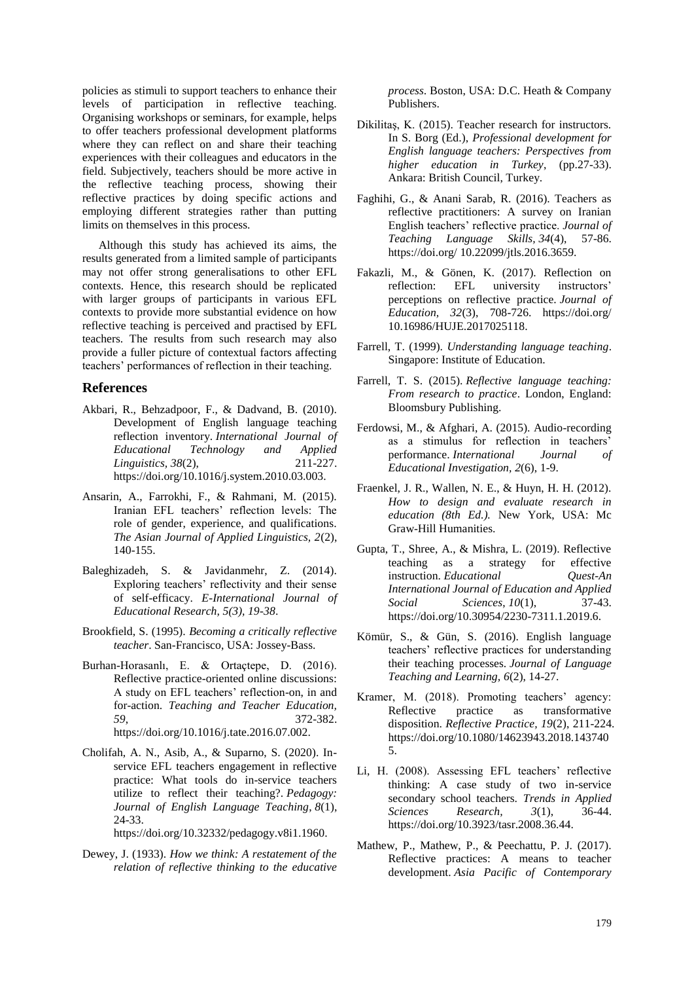policies as stimuli to support teachers to enhance their levels of participation in reflective teaching. Organising workshops or seminars, for example, helps to offer teachers professional development platforms where they can reflect on and share their teaching experiences with their colleagues and educators in the field. Subjectively, teachers should be more active in the reflective teaching process, showing their reflective practices by doing specific actions and employing different strategies rather than putting limits on themselves in this process.

Although this study has achieved its aims, the results generated from a limited sample of participants may not offer strong generalisations to other EFL contexts. Hence, this research should be replicated with larger groups of participants in various EFL contexts to provide more substantial evidence on how reflective teaching is perceived and practised by EFL teachers. The results from such research may also provide a fuller picture of contextual factors affecting teachers' performances of reflection in their teaching.

### **References**

- Akbari, R., Behzadpoor, F., & Dadvand, B. (2010). Development of English language teaching reflection inventory. *International Journal of Educational Technology and Applied Linguistics, 38*(2), 211-227. https://doi.org/10.1016/j.system.2010.03.003.
- Ansarin, A., Farrokhi, F., & Rahmani, M. (2015). Iranian EFL teachers' reflection levels: The role of gender, experience, and qualifications. *The Asian Journal of Applied Linguistics, 2*(2), 140-155.
- Baleghizadeh, S. & Javidanmehr, Z. (2014). Exploring teachers' reflectivity and their sense of self-efficacy. *E-International Journal of Educational Research, 5(3), 19-38*.
- Brookfield, S. (1995). *Becoming a critically reflective teacher*. San-Francisco, USA: Jossey-Bass.
- Burhan-Horasanlı, E. & Ortaçtepe, D. (2016). Reflective practice-oriented online discussions: A study on EFL teachers' reflection-on, in and for-action. *Teaching and Teacher Education, 59*, 372-382. https://doi.org/10.1016/j.tate.2016.07.002.
- Cholifah, A. N., Asib, A., & Suparno, S. (2020). Inservice EFL teachers engagement in reflective practice: What tools do in-service teachers utilize to reflect their teaching?. *Pedagogy: Journal of English Language Teaching*, *8*(1), 24-33.

https://doi.org/10.32332/pedagogy.v8i1.1960.

Dewey, J. (1933). *How we think: A restatement of the relation of reflective thinking to the educative*  *process*. Boston, USA: D.C. Heath & Company Publishers.

- Dikilitaş, K. (2015). Teacher research for instructors. In S. Borg (Ed.), *Professional development for English language teachers: Perspectives from higher education in Turkey*, (pp.27-33). Ankara: British Council, Turkey.
- Faghihi, G., & Anani Sarab, R. (2016). Teachers as reflective practitioners: A survey on Iranian English teachers' reflective practice. *Journal of Teaching Language Skills, 34*(4), 57-86. https://doi.org/ 10.22099/jtls.2016.3659.
- Fakazli, M., & Gönen, K. (2017). Reflection on reflection: EFL university instructors' perceptions on reflective practice. *Journal of Education, 32*(3), 708-726. https://doi.org/ 10.16986/HUJE.2017025118.
- Farrell, T. (1999). *Understanding language teaching*. Singapore: Institute of Education.
- Farrell, T. S. (2015). *Reflective language teaching: From research to practice*. London, England: Bloomsbury Publishing.
- Ferdowsi, M., & Afghari, A. (2015). Audio-recording as a stimulus for reflection in teachers' performance. *International Journal of Educational Investigation, 2*(6), 1-9.
- Fraenkel, J. R., Wallen, N. E., & Huyn, H. H. (2012). *How to design and evaluate research in education (8th Ed.).* New York, USA: Mc Graw-Hill Humanities.
- Gupta, T., Shree, A., & Mishra, L. (2019). Reflective teaching as a strategy for effective instruction. *Educational Quest-An International Journal of Education and Applied Social Sciences*, *10*(1), 37-43. https://doi.org/10.30954/2230-7311.1.2019.6.
- Kömür, S., & Gün, S. (2016). English language teachers' reflective practices for understanding their teaching processes. *Journal of Language Teaching and Learning, 6*(2), 14-27.
- Kramer, M. (2018). Promoting teachers' agency: Reflective practice as transformative disposition. *Reflective Practice, 19*(2), 211-224. https://doi.org/10.1080/14623943.2018.143740 5.
- Li, H. (2008). Assessing EFL teachers' reflective thinking: A case study of two in-service secondary school teachers. *Trends in Applied Sciences Research, 3*(1), 36-44. https://doi.org[/10.3923/tasr.2008.36.44.](https://dx.doi.org/10.3923/tasr.2008.36.44)
- Mathew, P., Mathew, P., & Peechattu, P. J. (2017). Reflective practices: A means to teacher development. *Asia Pacific of Contemporary*